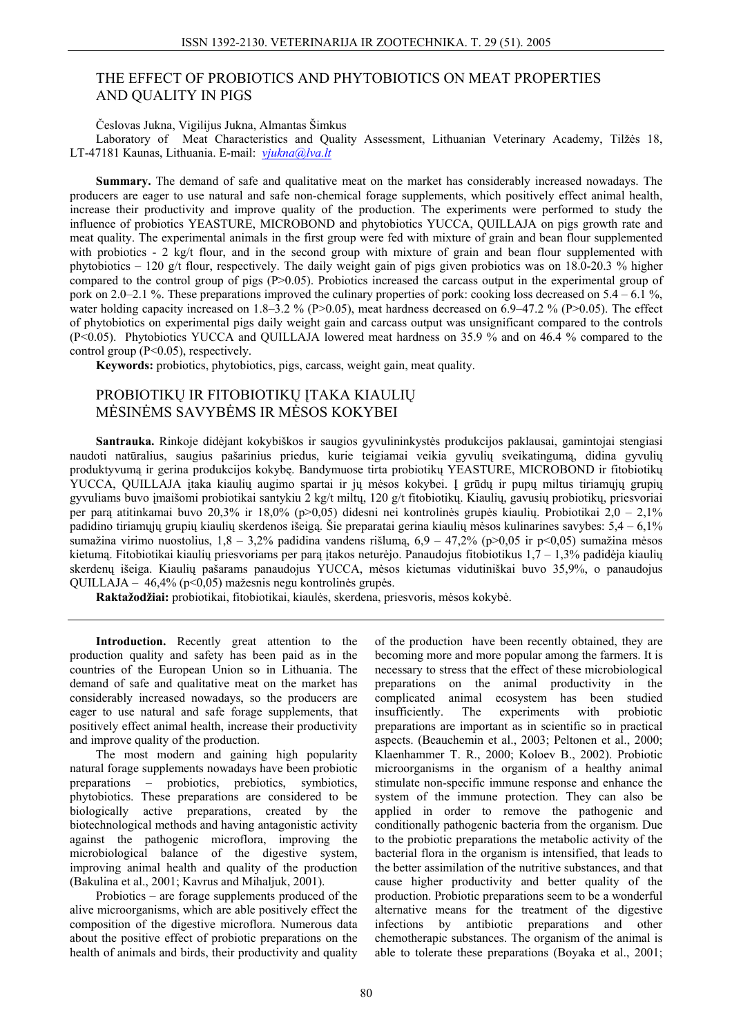# THE EFFECT OF PROBIOTICS AND PHYTOBIOTICS ON MEAT PROPERTIES AND QUALITY IN PIGS

Česlovas Jukna, Vigilijus Jukna, Almantas Šimkus

Laboratory of Meat Characteristics and Quality Assessment, Lithuanian Veterinary Academy, Tilžės 18, LT-47181 Kaunas, Lithuania. E-mail: *vjukna@lva.lt*

**Summary.** The demand of safe and qualitative meat on the market has considerably increased nowadays. The producers are eager to use natural and safe non-chemical forage supplements, which positively effect animal health, increase their productivity and improve quality of the production. The experiments were performed to study the influence of probiotics YEASTURE, MICROBOND and phytobiotics YUCCA, QUILLAJA on pigs growth rate and meat quality. The experimental animals in the first group were fed with mixture of grain and bean flour supplemented with probiotics - 2 kg/t flour, and in the second group with mixture of grain and bean flour supplemented with phytobiotics – 120 g/t flour, respectively. The daily weight gain of pigs given probiotics was on 18.0-20.3 % higher compared to the control group of pigs (P>0.05). Probiotics increased the carcass output in the experimental group of pork on 2.0–2.1 %. These preparations improved the culinary properties of pork: cooking loss decreased on 5.4 – 6.1 %, water holding capacity increased on 1.8–3.2 % (P>0.05), meat hardness decreased on 6.9–47.2 % (P>0.05). The effect of phytobiotics on experimental pigs daily weight gain and carcass output was unsignificant compared to the controls (P<0.05). Phytobiotics YUCCA and QUILLAJA lowered meat hardness on 35.9 % and on 46.4 % compared to the control group (P<0.05), respectively.

**Keywords:** probiotics, phytobiotics, pigs, carcass, weight gain, meat quality.

# PROBIOTIKŲ IR FITOBIOTIKŲ ĮTAKA KIAULIŲ MĖSINĖMS SAVYBĖMS IR MĖSOS KOKYBEI

**Santrauka.** Rinkoje didėjant kokybiškos ir saugios gyvulininkystės produkcijos paklausai, gamintojai stengiasi naudoti natūralius, saugius pašarinius priedus, kurie teigiamai veikia gyvulių sveikatingumą, didina gyvulių produktyvumą ir gerina produkcijos kokybę. Bandymuose tirta probiotikų YEASTURE, MICROBOND ir fitobiotikų YUCCA, QUILLAJA įtaka kiaulių augimo spartai ir jų mėsos kokybei. Į grūdų ir pupų miltus tiriamųjų grupių gyvuliams buvo įmaišomi probiotikai santykiu 2 kg/t miltų, 120 g/t fitobiotikų. Kiaulių, gavusių probiotikų, priesvoriai per parą atitinkamai buvo 20,3% ir 18,0% (p>0,05) didesni nei kontrolinės grupės kiaulių. Probiotikai 2,0 – 2,1% padidino tiriamųjų grupių kiaulių skerdenos išeigą. Šie preparatai gerina kiaulių mėsos kulinarines savybes: 5,4 – 6,1% sumažina virimo nuostolius, 1,8 – 3,2% padidina vandens rišlumą, 6,9 – 47,2% (p>0,05 ir p<0,05) sumažina mėsos kietumą. Fitobiotikai kiaulių priesvoriams per parą įtakos neturėjo. Panaudojus fitobiotikus 1,7 – 1,3% padidėja kiaulių skerdenų išeiga. Kiaulių pašarams panaudojus YUCCA, mėsos kietumas vidutiniškai buvo 35,9%, o panaudojus QUILLAJA – 46,4% (p<0,05) mažesnis negu kontrolinės grupės.

**Raktažodžiai:** probiotikai, fitobiotikai, kiaulės, skerdena, priesvoris, mėsos kokybė.

**Introduction.** Recently great attention to the production quality and safety has been paid as in the countries of the European Union so in Lithuania. The demand of safe and qualitative meat on the market has considerably increased nowadays, so the producers are eager to use natural and safe forage supplements, that positively effect animal health, increase their productivity and improve quality of the production.

The most modern and gaining high popularity natural forage supplements nowadays have been probiotic preparations – probiotics, prebiotics, symbiotics, phytobiotics. These preparations are considered to be biologically active preparations, created by the biotechnological methods and having antagonistic activity against the pathogenic microflora, improving the microbiological balance of the digestive system, improving animal health and quality of the production (Bakulina et al., 2001; Kavrus and Mihaljuk, 2001).

Probiotics – are forage supplements produced of the alive microorganisms, which are able positively effect the composition of the digestive microflora. Numerous data about the positive effect of probiotic preparations on the health of animals and birds, their productivity and quality

of the production have been recently obtained, they are becoming more and more popular among the farmers. It is necessary to stress that the effect of these microbiological preparations on the animal productivity in the complicated animal ecosystem has been studied insufficiently. The experiments with probiotic preparations are important as in scientific so in practical aspects. (Beauchemin et al., 2003; Peltonen et al., 2000; Klaenhammer T. R., 2000; Koloev B., 2002). Probiotic microorganisms in the organism of a healthy animal stimulate non-specific immune response and enhance the system of the immune protection. They can also be applied in order to remove the pathogenic and conditionally pathogenic bacteria from the organism. Due to the probiotic preparations the metabolic activity of the bacterial flora in the organism is intensified, that leads to the better assimilation of the nutritive substances, and that cause higher productivity and better quality of the production. Probiotic preparations seem to be a wonderful alternative means for the treatment of the digestive infections by antibiotic preparations and other chemotherapic substances. The organism of the animal is able to tolerate these preparations (Boyaka et al., 2001;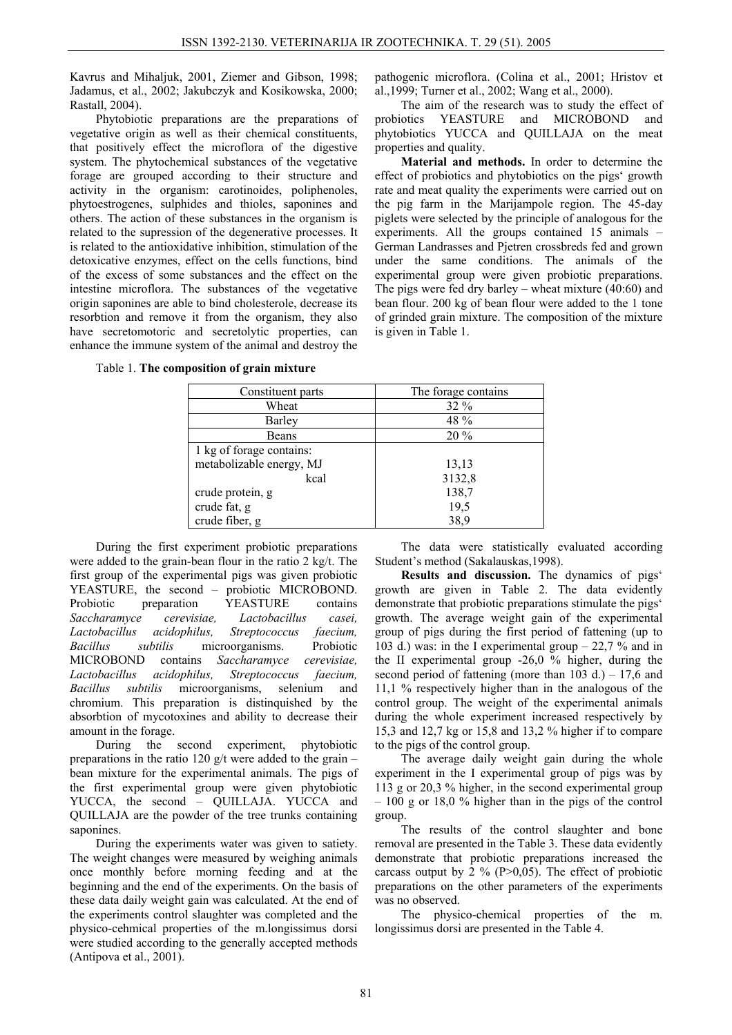Kavrus and Mihaljuk, 2001, Ziemer and Gibson, 1998; Jadamus, et al., 2002; Jakubczyk and Kosikowska, 2000; Rastall, 2004).

Phytobiotic preparations are the preparations of vegetative origin as well as their chemical constituents, that positively effect the microflora of the digestive system. The phytochemical substances of the vegetative forage are grouped according to their structure and activity in the organism: carotinoides, poliphenoles, phytoestrogenes, sulphides and thioles, saponines and others. The action of these substances in the organism is related to the supression of the degenerative processes. It is related to the antioxidative inhibition, stimulation of the detoxicative enzymes, effect on the cells functions, bind of the excess of some substances and the effect on the intestine microflora. The substances of the vegetative origin saponines are able to bind cholesterole, decrease its resorbtion and remove it from the organism, they also have secretomotoric and secretolytic properties, can enhance the immune system of the animal and destroy the

pathogenic microflora. (Colina et al., 2001; Hristov et al.,1999; Turner et al., 2002; Wang et al., 2000).

The aim of the research was to study the effect of probiotics YEASTURE and MICROBOND and phytobiotics YUCCA and QUILLAJA on the meat properties and quality.

**Material and methods.** In order to determine the effect of probiotics and phytobiotics on the pigs' growth rate and meat quality the experiments were carried out on the pig farm in the Marijampole region. The 45-day piglets were selected by the principle of analogous for the experiments. All the groups contained 15 animals – German Landrasses and Pjetren crossbreds fed and grown under the same conditions. The animals of the experimental group were given probiotic preparations. The pigs were fed dry barley – wheat mixture (40:60) and bean flour. 200 kg of bean flour were added to the 1 tone of grinded grain mixture. The composition of the mixture is given in Table 1.

Table 1. **The composition of grain mixture** 

| Constituent parts        | The forage contains |
|--------------------------|---------------------|
| Wheat                    | $32\%$              |
| Barley                   | 48 %                |
| Beans                    | $20\%$              |
| 1 kg of forage contains: |                     |
| metabolizable energy, MJ | 13,13               |
| kcal                     | 3132,8              |
| crude protein, g         | 138,7               |
| crude fat, g             | 19,5                |
| crude fiber, g           | 38,9                |

During the first experiment probiotic preparations were added to the grain-bean flour in the ratio 2 kg/t. The first group of the experimental pigs was given probiotic YEASTURE, the second – probiotic MICROBOND. Probiotic preparation YEASTURE contains *Saccharamyce cerevisiae, Lactobacillus casei, Lactobacillus acidophilus, Streptococcus faecium, Bacillus subtilis* microorganisms. Probiotic MICROBOND contains *Saccharamyce cerevisiae, Lactobacillus acidophilus, Streptococcus faecium, Bacillus subtilis* microorganisms, selenium and chromium. This preparation is distinquished by the absorbtion of mycotoxines and ability to decrease their amount in the forage.

During the second experiment, phytobiotic preparations in the ratio 120 g/t were added to the grain – bean mixture for the experimental animals. The pigs of the first experimental group were given phytobiotic YUCCA, the second – QUILLAJA. YUCCA and QUILLAJA are the powder of the tree trunks containing saponines.

During the experiments water was given to satiety. The weight changes were measured by weighing animals once monthly before morning feeding and at the beginning and the end of the experiments. On the basis of these data daily weight gain was calculated. At the end of the experiments control slaughter was completed and the physico-cehmical properties of the m.longissimus dorsi were studied according to the generally accepted methods (Antipova et al., 2001).

The data were statistically evaluated according Student's method (Sakalauskas,1998).

**Results and discussion.** The dynamics of pigs' growth are given in Table 2. The data evidently demonstrate that probiotic preparations stimulate the pigs' growth. The average weight gain of the experimental group of pigs during the first period of fattening (up to 103 d.) was: in the I experimental group  $-22.7$  % and in the II experimental group -26,0 % higher, during the second period of fattening (more than  $103$  d.) –  $17,6$  and 11,1 % respectively higher than in the analogous of the control group. The weight of the experimental animals during the whole experiment increased respectively by 15,3 and 12,7 kg or 15,8 and 13,2 % higher if to compare to the pigs of the control group.

The average daily weight gain during the whole experiment in the I experimental group of pigs was by 113 g or 20,3 % higher, in the second experimental group – 100 g or 18,0 % higher than in the pigs of the control group.

The results of the control slaughter and bone removal are presented in the Table 3. These data evidently demonstrate that probiotic preparations increased the carcass output by 2 % ( $P>0,05$ ). The effect of probiotic preparations on the other parameters of the experiments was no observed.

The physico-chemical properties of the m. longissimus dorsi are presented in the Table 4.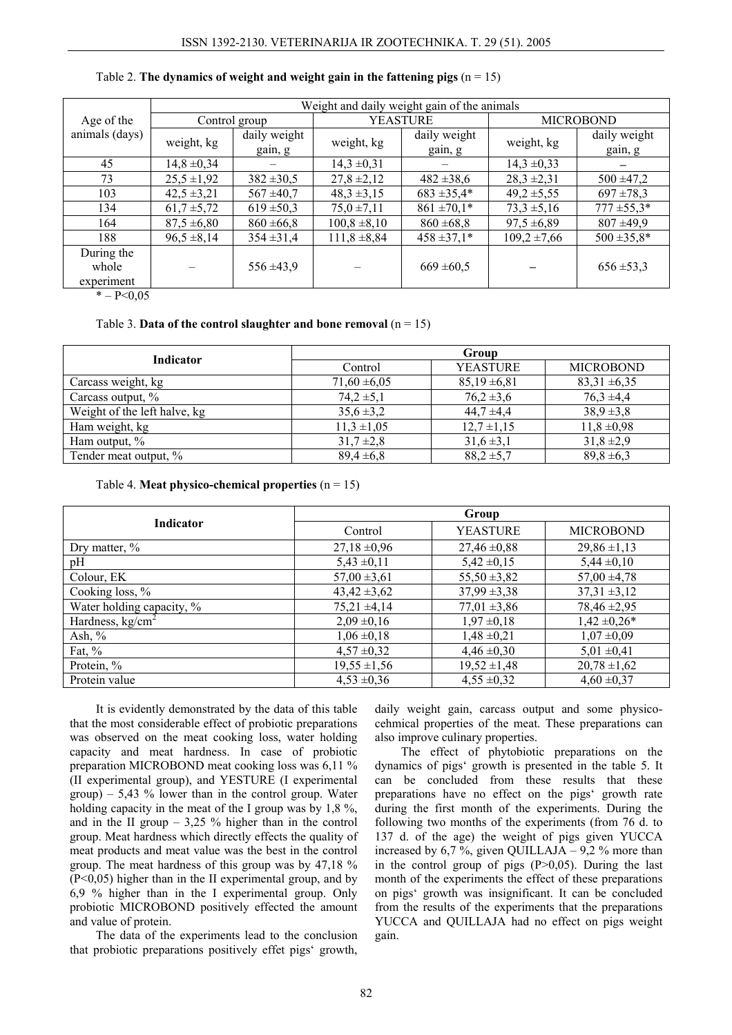|                                   | Weight and daily weight gain of the animals |                         |                  |                         |                  |                         |  |
|-----------------------------------|---------------------------------------------|-------------------------|------------------|-------------------------|------------------|-------------------------|--|
| Age of the                        |                                             | Control group           |                  | <b>YEASTURE</b>         |                  | <b>MICROBOND</b>        |  |
| animals (days)                    | weight, kg                                  | daily weight<br>gain, g | weight, kg       | daily weight<br>gain, g | weight, kg       | daily weight<br>gain, g |  |
| 45                                | $14,8 \pm 0,34$                             |                         | $14,3 \pm 0,31$  |                         | $14.3 \pm 0.33$  |                         |  |
| 73                                | $25,5 \pm 1,92$                             | $382 \pm 30.5$          | $27,8 \pm 2,12$  | $482 \pm 38.6$          | $28,3 \pm 2,31$  | $500 \pm 47.2$          |  |
| 103                               | $42,5 \pm 3,21$                             | $567 \pm 40.7$          | $48,3 \pm 3,15$  | $683 \pm 35.4*$         | $49.2 \pm 5.55$  | $697 \pm 78.3$          |  |
| 134                               | $61,7 \pm 5,72$                             | $619 \pm 50,3$          | $75.0 \pm 7.11$  | $861 \pm 70.1*$         | $73.3 \pm 5.16$  | $777 \pm 55.3*$         |  |
| 164                               | $87.5 \pm 6.80$                             | $860 \pm 66,8$          | $100,8 \pm 8,10$ | $860 \pm 68.8$          | $97.5 \pm 6.89$  | $807 + 49.9$            |  |
| 188                               | $96,5 \pm 8,14$                             | $354 \pm 31.4$          | $111,8 \pm 8,84$ | $458 \pm 37.1*$         | $109.2 \pm 7.66$ | $500 \pm 35.8*$         |  |
| During the<br>whole<br>experiment |                                             | $556 \pm 43,9$          |                  | $669 \pm 60,5$          |                  | $656 \pm 53.3$          |  |

### Table 2. **The dynamics of weight and weight gain in the fattening pigs**  $(n = 15)$

 $* - P < 0.05$ 

#### Table 3. **Data of the control slaughter and bone removal**  $(n = 15)$

| <b>Indicator</b>             | Group            |                  |                  |  |  |
|------------------------------|------------------|------------------|------------------|--|--|
|                              | Control          | <b>YEASTURE</b>  | <b>MICROBOND</b> |  |  |
| Carcass weight, kg           | $71,60 \pm 6,05$ | $85,19 \pm 6,81$ | $83,31 \pm 6,35$ |  |  |
| Carcass output, %            | $74.2 \pm 5.1$   | $76.2 \pm 3.6$   | $76.3 \pm 4.4$   |  |  |
| Weight of the left halve, kg | $35,6 \pm 3,2$   | $44,7 \pm 4,4$   | $38.9 \pm 3.8$   |  |  |
| Ham weight, kg               | $11,3 \pm 1,05$  | $12.7 \pm 1.15$  | $11,8 \pm 0.98$  |  |  |
| Ham output, %                | $31,7 \pm 2,8$   | $31,6 \pm 3,1$   | $31,8 \pm 2,9$   |  |  |
| Tender meat output, %        | $89,4 \pm 6,8$   | $88.2 \pm 5.7$   | $89,8 \pm 6,3$   |  |  |

Table 4. **Meat physico-chemical properties** (n = 15)

|                           | Group            |                  |                  |  |  |
|---------------------------|------------------|------------------|------------------|--|--|
| Indicator                 | Control          | <b>YEASTURE</b>  | <b>MICROBOND</b> |  |  |
| Dry matter, %             | $27,18 \pm 0.96$ | $27,46 \pm 0,88$ | $29,86 \pm 1,13$ |  |  |
| pH                        | $5,43 \pm 0,11$  | $5,42 \pm 0,15$  | $5,44 \pm 0,10$  |  |  |
| Colour, EK                | $57,00 \pm 3,61$ | $55,50 \pm 3,82$ | $57,00 \pm 4,78$ |  |  |
| Cooking loss, %           | $43,42 \pm 3,62$ | $37,99 \pm 3,38$ | $37,31 \pm 3,12$ |  |  |
| Water holding capacity, % | $75,21 \pm 4,14$ | $77,01 \pm 3,86$ | 78,46 ± 2,95     |  |  |
| Hardness, $kg/cm2$        | $2,09 \pm 0,16$  | $1,97 \pm 0,18$  | $1,42 \pm 0,26*$ |  |  |
| Ash, $\%$                 | $1,06 \pm 0,18$  | $1,48 \pm 0,21$  | $1,07 \pm 0,09$  |  |  |
| Fat, $\%$                 | $4,57 \pm 0,32$  | $4,46 \pm 0,30$  | $5,01 \pm 0,41$  |  |  |
| Protein, %                | $19,55 \pm 1,56$ | $19,52 \pm 1,48$ | $20,78 \pm 1,62$ |  |  |
| Protein value             | $4,53 \pm 0,36$  | $4,55 \pm 0,32$  | $4,60 \pm 0,37$  |  |  |

It is evidently demonstrated by the data of this table that the most considerable effect of probiotic preparations was observed on the meat cooking loss, water holding capacity and meat hardness. In case of probiotic preparation MICROBOND meat cooking loss was 6,11 % (II experimental group), and YESTURE (I experimental  $\text{group}$  – 5,43 % lower than in the control group. Water holding capacity in the meat of the I group was by 1,8 %, and in the II group  $-3,25\%$  higher than in the control group. Meat hardness which directly effects the quality of meat products and meat value was the best in the control group. The meat hardness of this group was by 47,18 % (P<0,05) higher than in the II experimental group, and by 6,9 % higher than in the I experimental group. Only probiotic MICROBOND positively effected the amount and value of protein.

The data of the experiments lead to the conclusion that probiotic preparations positively effet pigs' growth, daily weight gain, carcass output and some physicocehmical properties of the meat. These preparations can also improve culinary properties.

The effect of phytobiotic preparations on the dynamics of pigs' growth is presented in the table 5. It can be concluded from these results that these preparations have no effect on the pigs' growth rate during the first month of the experiments. During the following two months of the experiments (from 76 d. to 137 d. of the age) the weight of pigs given YUCCA increased by 6,7 %, given QUILLAJA – 9,2 % more than in the control group of pigs  $(P>0,05)$ . During the last month of the experiments the effect of these preparations on pigs' growth was insignificant. It can be concluded from the results of the experiments that the preparations YUCCA and QUILLAJA had no effect on pigs weight gain.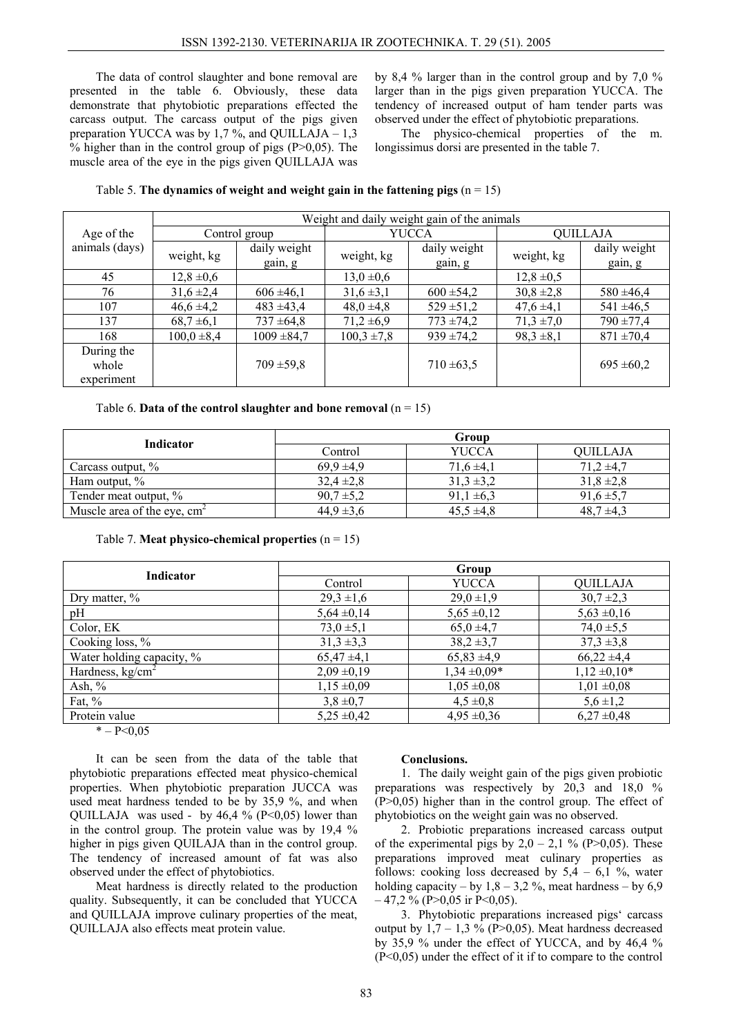The data of control slaughter and bone removal are presented in the table 6. Obviously, these data demonstrate that phytobiotic preparations effected the carcass output. The carcass output of the pigs given preparation YUCCA was by 1,7 %, and QUILLAJA  $-1,3$ % higher than in the control group of pigs  $(P>0,05)$ . The muscle area of the eye in the pigs given QUILLAJA was by 8,4 % larger than in the control group and by 7,0 % larger than in the pigs given preparation YUCCA. The tendency of increased output of ham tender parts was observed under the effect of phytobiotic preparations.

The physico-chemical properties of the m. longissimus dorsi are presented in the table 7.

| Table 5. The dynamics of weight and weight gain in the fattening pigs $(n = 15)$ |  |  |  |  |
|----------------------------------------------------------------------------------|--|--|--|--|
|----------------------------------------------------------------------------------|--|--|--|--|

|                                   | Weight and daily weight gain of the animals |                         |                 |                         |                 |                         |  |
|-----------------------------------|---------------------------------------------|-------------------------|-----------------|-------------------------|-----------------|-------------------------|--|
| Age of the                        |                                             | Control group           | YUCCA           |                         | <b>QUILLAJA</b> |                         |  |
| animals (days)                    | weight, kg                                  | daily weight<br>gain, g | weight, kg      | daily weight<br>gain, g | weight, kg      | daily weight<br>gain, g |  |
| 45                                | $12,8 \pm 0,6$                              |                         | $13,0 \pm 0,6$  |                         | $12,8 \pm 0.5$  |                         |  |
| 76                                | $31,6 \pm 2,4$                              | $606 \pm 46,1$          | $31,6 \pm 3,1$  | $600 \pm 54.2$          | $30,8 \pm 2,8$  | $580 \pm 46.4$          |  |
| 107                               | $46,6 \pm 4,2$                              | $483 + 43.4$            | $48,0, \pm 4,8$ | $529 \pm 51.2$          | $47,6 \pm 4,1$  | $541 \pm 46.5$          |  |
| 137                               | $68,7 \pm 6,1$                              | $737 \pm 64.8$          | $71,2 \pm 6,9$  | $773 \pm 74.2$          | $71,3 \pm 7,0$  | $790 \pm 77.4$          |  |
| 168                               | $100,0=8,4$                                 | $1009 \pm 84.7$         | $100,3 \pm 7,8$ | $939 \pm 74.2$          | $98,3 \pm 8,1$  | $871 \pm 70.4$          |  |
| During the<br>whole<br>experiment |                                             | $709 \pm 59.8$          |                 | $710 \pm 63,5$          |                 | $695 \pm 60.2$          |  |

|  |  | Table 6. Data of the control slaughter and bone removal $(n = 15)$ |  |  |  |
|--|--|--------------------------------------------------------------------|--|--|--|
|  |  |                                                                    |  |  |  |

| <b>Indicator</b>              | Group          |                |                 |  |  |
|-------------------------------|----------------|----------------|-----------------|--|--|
|                               | Control        | <b>YUCCA</b>   | <b>OUILLAJA</b> |  |  |
| Carcass output, %             | $69.9 \pm 4.9$ | $71,6 \pm 4,1$ | $71,2 \pm 4,7$  |  |  |
| Ham output, $\%$              | $32,4 \pm 2,8$ | $31.3 \pm 3.2$ | $31,8 \pm 2,8$  |  |  |
| Tender meat output, %         | $90,7 \pm 5,2$ | $91,1 \pm 6,3$ | $91,6 \pm 5,7$  |  |  |
| Muscle area of the eye, $cm2$ | $44.9 \pm 3.6$ | $45.5 \pm 4.8$ | $48.7 \pm 4.3$  |  |  |

Table 7. **Meat physico-chemical properties**  $(n = 15)$ 

| Group           |                  |                   |  |  |
|-----------------|------------------|-------------------|--|--|
| Control         | <b>YUCCA</b>     | <b>QUILLAJA</b>   |  |  |
| $29,3 \pm 1,6$  | $29,0 \pm 1,9$   | $30,7 \pm 2,3$    |  |  |
| $5,64 \pm 0,14$ | $5,65 \pm 0,12$  | $5,63 \pm 0,16$   |  |  |
| 73,0,0,0,1      | $65,0, \pm 4,7$  | $74.0 \pm 5.5$    |  |  |
| $31,3 \pm 3,3$  | $38,2 \pm 3,7$   | $37.3 \pm 3.8$    |  |  |
| $65,47 \pm 4,1$ | $65,83 \pm 4,9$  | $66,22 \pm 4,4$   |  |  |
| $2,09 \pm 0,19$ | $1,34 \pm 0,09*$ | $1,12 \pm 0,10^*$ |  |  |
| $1,15 \pm 0,09$ | $1,05 \pm 0,08$  | $1,01 \pm 0,08$   |  |  |
| $3,8 \pm 0,7$   | $4,5 \pm 0.8$    | $5,6 \pm 1,2$     |  |  |
| $5,25 \pm 0,42$ | $4,95 \pm 0,36$  | $6,27 \pm 0,48$   |  |  |
|                 |                  |                   |  |  |

 $* - P < 0.05$ 

It can be seen from the data of the table that phytobiotic preparations effected meat physico-chemical properties. When phytobiotic preparation JUCCA was used meat hardness tended to be by 35,9 %, and when QUILLAJA was used - by  $46.4 \%$  (P<0,05) lower than in the control group. The protein value was by 19,4 % higher in pigs given QUILAJA than in the control group. The tendency of increased amount of fat was also observed under the effect of phytobiotics.

Meat hardness is directly related to the production quality. Subsequently, it can be concluded that YUCCA and QUILLAJA improve culinary properties of the meat, QUILLAJA also effects meat protein value.

### **Conclusions.**

1. The daily weight gain of the pigs given probiotic preparations was respectively by 20,3 and 18,0 %  $(P>0.05)$  higher than in the control group. The effect of phytobiotics on the weight gain was no observed.

2. Probiotic preparations increased carcass output of the experimental pigs by  $2.0 - 2.1$  % (P>0.05). These preparations improved meat culinary properties as follows: cooking loss decreased by  $5.4 - 6.1$  %, water holding capacity – by  $1.8 - 3.2$  %, meat hardness – by 6.9  $-47,2\%$  (P $>0.05$  ir P $\leq 0.05$ ).

3. Phytobiotic preparations increased pigs' carcass output by  $1,7 - 1,3$  % (P>0,05). Meat hardness decreased by 35,9 % under the effect of YUCCA, and by 46,4 % (P<0,05) under the effect of it if to compare to the control